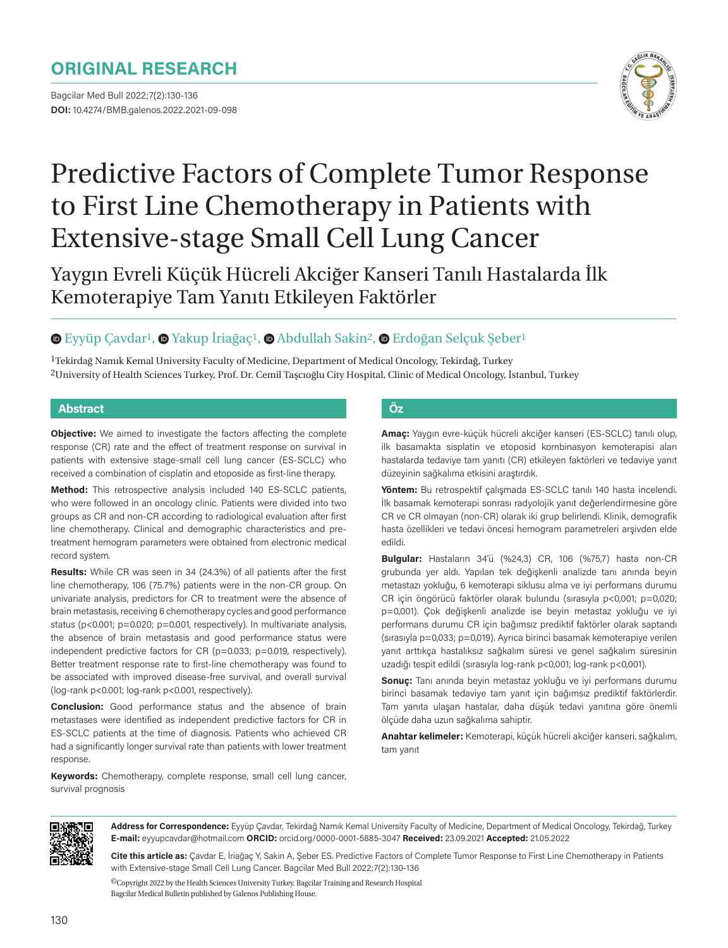# **ORIGINAL RESEARCH**

Bagcilar Med Bull 2022;7(2):130-136 **DOI:** 10.4274/BMB.galenos.2022.2021-09-098



# Predictive Factors of Complete Tumor Response to First Line Chemotherapy in Patients with Extensive-stage Small Cell Lung Cancer

Yaygın Evreli Küçük Hücreli Akciğer Kanseri Tanılı Hastalarda İlk Kemoterapiye Tam Yanıtı Etkileyen Faktörler

### **E**yyüpÇavdar<sup>1</sup>, **O** Yakup İriağaç<sup>1</sup>, **O** Abdullah Sakin<sup>2</sup>, **O** Erdoğan Selçuk Şeber<sup>1</sup>

1Tekirdağ Namık Kemal University Faculty of Medicine, Department of Medical Oncology, Tekirdağ, Turkey 2University of Health Sciences Turkey, Prof. Dr. Cemil Taşcıoğlu City Hospital, Clinic of Medical Oncology, İstanbul, Turkey

#### **Abstract Öz**

**Objective:** We aimed to investigate the factors affecting the complete response (CR) rate and the effect of treatment response on survival in patients with extensive stage-small cell lung cancer (ES-SCLC) who received a combination of cisplatin and etoposide as first-line therapy.

**Method:** This retrospective analysis included 140 ES-SCLC patients, who were followed in an oncology clinic. Patients were divided into two groups as CR and non-CR according to radiological evaluation after first line chemotherapy. Clinical and demographic characteristics and pretreatment hemogram parameters were obtained from electronic medical record system.

**Results:** While CR was seen in 34 (24.3%) of all patients after the first line chemotherapy, 106 (75.7%) patients were in the non-CR group. On univariate analysis, predictors for CR to treatment were the absence of brain metastasis, receiving 6 chemotherapy cycles and good performance status (p<0.001; p=0.020; p=0.001, respectively). In multivariate analysis, the absence of brain metastasis and good performance status were independent predictive factors for CR (p=0.033; p=0.019, respectively). Better treatment response rate to first-line chemotherapy was found to be associated with improved disease-free survival, and overall survival (log-rank p<0.001; log-rank p<0.001, respectively).

**Conclusion:** Good performance status and the absence of brain metastases were identified as independent predictive factors for CR in ES-SCLC patients at the time of diagnosis. Patients who achieved CR had a significantly longer survival rate than patients with lower treatment response.

**Keywords:** Chemotherapy, complete response, small cell lung cancer, survival prognosis

**Amaç:** Yaygın evre-küçük hücreli akciğer kanseri (ES-SCLC) tanılı olup, ilk basamakta sisplatin ve etoposid kombinasyon kemoterapisi alan hastalarda tedaviye tam yanıtı (CR) etkileyen faktörleri ve tedaviye yanıt düzeyinin sağkalıma etkisini araştırdık.

**Yöntem:** Bu retrospektif çalışmada ES-SCLC tanılı 140 hasta incelendi. İlk basamak kemoterapi sonrası radyolojik yanıt değerlendirmesine göre CR ve CR olmayan (non-CR) olarak iki grup belirlendi. Klinik, demografik hasta özellikleri ve tedavi öncesi hemogram parametreleri arşivden elde edildi.

**Bulgular:** Hastaların 34'ü (%24,3) CR, 106 (%75,7) hasta non-CR grubunda yer aldı. Yapılan tek değişkenli analizde tanı anında beyin metastazı yokluğu, 6 kemoterapi siklusu alma ve iyi performans durumu CR için öngörücü faktörler olarak bulundu (sırasıyla p<0,001; p=0,020; p=0,001). Çok değişkenli analizde ise beyin metastaz yokluğu ve iyi performans durumu CR için bağımsız prediktif faktörler olarak saptandı (sırasıyla p=0,033; p=0,019). Ayrıca birinci basamak kemoterapiye verilen yanıt arttıkça hastalıksız sağkalım süresi ve genel sağkalım süresinin uzadığı tespit edildi (sırasıyla log-rank p<0,001; log-rank p<0,001).

**Sonuç:** Tanı anında beyin metastaz yokluğu ve iyi performans durumu birinci basamak tedaviye tam yanıt için bağımsız prediktif faktörlerdir. Tam yanıta ulaşan hastalar, daha düşük tedavi yanıtına göre önemli ölçüde daha uzun sağkalıma sahiptir.

**Anahtar kelimeler:** Kemoterapi, küçük hücreli akciğer kanseri, sağkalım, tam yanıt



**Address for Correspondence:** Eyyüp Çavdar, Tekirdağ Namık Kemal University Faculty of Medicine, Department of Medical Oncology, Tekirdağ, Turkey **E-mail:** eyyupcavdar@hotmail.com **ORCID:** orcid.org/0000-0001-5885-3047 **Received:** 23.09.2021 **Accepted:** 21.05.2022

**Cite this article as:** Çavdar E, İriağaç Y, Sakin A, Şeber ES. Predictive Factors of Complete Tumor Response to First Line Chemotherapy in Patients with Extensive-stage Small Cell Lung Cancer. Bagcilar Med Bull 2022;7(2):130-136

©Copyright 2022 by the Health Sciences University Turkey, Bagcilar Training and Research Hospital Bagcilar Medical Bulletin published by Galenos Publishing House.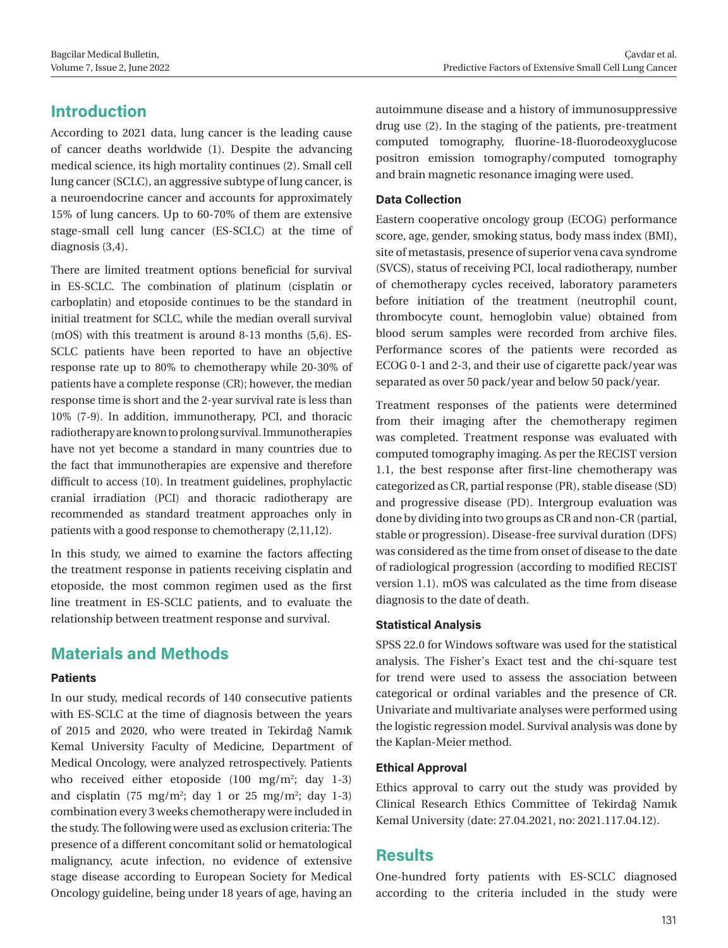# **Introduction**

According to 2021 data, lung cancer is the leading cause of cancer deaths worldwide (1). Despite the advancing medical science, its high mortality continues (2). Small cell lung cancer (SCLC), an aggressive subtype of lung cancer, is a neuroendocrine cancer and accounts for approximately 15% of lung cancers. Up to 60-70% of them are extensive stage-small cell lung cancer (ES-SCLC) at the time of diagnosis (3,4).

There are limited treatment options beneficial for survival in ES-SCLC. The combination of platinum (cisplatin or carboplatin) and etoposide continues to be the standard in initial treatment for SCLC, while the median overall survival (mOS) with this treatment is around 8-13 months (5,6). ES-SCLC patients have been reported to have an objective response rate up to 80% to chemotherapy while 20-30% of patients have a complete response (CR); however, the median response time is short and the 2-year survival rate is less than 10% (7-9). In addition, immunotherapy, PCI, and thoracic radiotherapy are known to prolong survival. Immunotherapies have not yet become a standard in many countries due to the fact that immunotherapies are expensive and therefore difficult to access (10). In treatment guidelines, prophylactic cranial irradiation (PCI) and thoracic radiotherapy are recommended as standard treatment approaches only in patients with a good response to chemotherapy (2,11,12).

In this study, we aimed to examine the factors affecting the treatment response in patients receiving cisplatin and etoposide, the most common regimen used as the first line treatment in ES-SCLC patients, and to evaluate the relationship between treatment response and survival.

# **Materials and Methods**

#### **Patients**

In our study, medical records of 140 consecutive patients with ES-SCLC at the time of diagnosis between the years of 2015 and 2020, who were treated in Tekirdağ Namık Kemal University Faculty of Medicine, Department of Medical Oncology, were analyzed retrospectively. Patients who received either etoposide  $(100 \text{ mg/m}^2; \text{ day } 1-3)$ and cisplatin (75 mg/m<sup>2</sup>; day 1 or 25 mg/m<sup>2</sup>; day 1-3) combination every 3 weeks chemotherapy were included in the study. The following were used as exclusion criteria: The presence of a different concomitant solid or hematological malignancy, acute infection, no evidence of extensive stage disease according to European Society for Medical Oncology guideline, being under 18 years of age, having an

autoimmune disease and a history of immunosuppressive drug use (2). In the staging of the patients, pre-treatment computed tomography, fluorine-18-fluorodeoxyglucose positron emission tomography/computed tomography and brain magnetic resonance imaging were used.

#### **Data Collection**

Eastern cooperative oncology group (ECOG) performance score, age, gender, smoking status, body mass index (BMI), site of metastasis, presence of superior vena cava syndrome (SVCS), status of receiving PCI, local radiotherapy, number of chemotherapy cycles received, laboratory parameters before initiation of the treatment (neutrophil count, thrombocyte count, hemoglobin value) obtained from blood serum samples were recorded from archive files. Performance scores of the patients were recorded as ECOG 0-1 and 2-3, and their use of cigarette pack/year was separated as over 50 pack/year and below 50 pack/year.

Treatment responses of the patients were determined from their imaging after the chemotherapy regimen was completed. Treatment response was evaluated with computed tomography imaging. As per the RECIST version 1.1, the best response after first-line chemotherapy was categorized as CR, partial response (PR), stable disease (SD) and progressive disease (PD). Intergroup evaluation was done by dividing into two groups as CR and non-CR (partial, stable or progression). Disease-free survival duration (DFS) was considered as the time from onset of disease to the date of radiological progression (according to modified RECIST version 1.1). mOS was calculated as the time from disease diagnosis to the date of death.

#### **Statistical Analysis**

SPSS 22.0 for Windows software was used for the statistical analysis. The Fisher's Exact test and the chi-square test for trend were used to assess the association between categorical or ordinal variables and the presence of CR. Univariate and multivariate analyses were performed using the logistic regression model. Survival analysis was done by the Kaplan-Meier method.

#### **Ethical Approval**

Ethics approval to carry out the study was provided by Clinical Research Ethics Committee of Tekirdağ Namık Kemal University (date: 27.04.2021, no: 2021.117.04.12).

# **Results**

One-hundred forty patients with ES-SCLC diagnosed according to the criteria included in the study were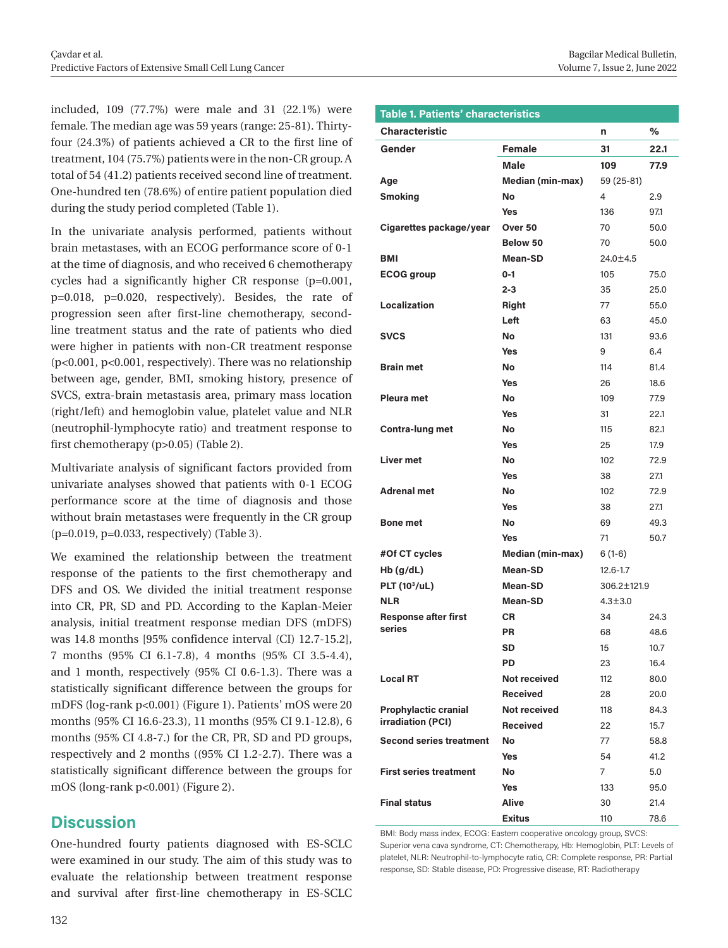included, 109 (77.7%) were male and 31 (22.1%) were female. The median age was 59 years (range: 25-81). Thirtyfour (24.3%) of patients achieved a CR to the first line of treatment, 104 (75.7%) patients were in the non-CR group. A total of 54 (41.2) patients received second line of treatment. One-hundred ten (78.6%) of entire patient population died during the study period completed (Table 1).

In the univariate analysis performed, patients without brain metastases, with an ECOG performance score of 0-1 at the time of diagnosis, and who received 6 chemotherapy cycles had a significantly higher CR response (p=0.001, p=0.018, p=0.020, respectively). Besides, the rate of progression seen after first-line chemotherapy, secondline treatment status and the rate of patients who died were higher in patients with non-CR treatment response (p<0.001, p<0.001, respectively). There was no relationship between age, gender, BMI, smoking history, presence of SVCS, extra-brain metastasis area, primary mass location (right/left) and hemoglobin value, platelet value and NLR (neutrophil-lymphocyte ratio) and treatment response to first chemotherapy (p>0.05) (Table 2).

Multivariate analysis of significant factors provided from univariate analyses showed that patients with 0-1 ECOG performance score at the time of diagnosis and those without brain metastases were frequently in the CR group (p=0.019, p=0.033, respectively) (Table 3).

We examined the relationship between the treatment response of the patients to the first chemotherapy and DFS and OS. We divided the initial treatment response into CR, PR, SD and PD. According to the Kaplan-Meier analysis, initial treatment response median DFS (mDFS) was 14.8 months [95% confidence interval (CI) 12.7-15.2], 7 months (95% CI 6.1-7.8), 4 months (95% CI 3.5-4.4), and 1 month, respectively (95% CI 0.6-1.3). There was a statistically significant difference between the groups for mDFS (log-rank p<0.001) (Figure 1). Patients' mOS were 20 months (95% CI 16.6-23.3), 11 months (95% CI 9.1-12.8), 6 months (95% CI 4.8-7.) for the CR, PR, SD and PD groups, respectively and 2 months ((95% CI 1.2-2.7). There was a statistically significant difference between the groups for mOS (long-rank p<0.001) (Figure 2).

# **Discussion**

One-hundred fourty patients diagnosed with ES-SCLC were examined in our study. The aim of this study was to evaluate the relationship between treatment response and survival after first-line chemotherapy in ES-SCLC

| <b>Table 1. Patients' characteristics</b>        |                         |               |      |  |  |  |  |
|--------------------------------------------------|-------------------------|---------------|------|--|--|--|--|
| <b>Characteristic</b>                            |                         | n             | ℅    |  |  |  |  |
| Gender                                           | <b>Female</b>           | 31            | 22.1 |  |  |  |  |
|                                                  | Male                    | 109           | 77.9 |  |  |  |  |
| Age                                              | <b>Median (min-max)</b> | 59 (25-81)    |      |  |  |  |  |
| <b>Smoking</b>                                   | No                      | 4             | 2.9  |  |  |  |  |
|                                                  | Yes                     | 136           | 97.1 |  |  |  |  |
| Cigarettes package/year                          | Over 50                 | 70            | 50.0 |  |  |  |  |
|                                                  | Below 50                | 70            | 50.0 |  |  |  |  |
| <b>BMI</b>                                       | <b>Mean-SD</b>          | 24.0±4.5      |      |  |  |  |  |
| <b>ECOG</b> group                                | $0 - 1$                 | 105           | 75.0 |  |  |  |  |
|                                                  | $2 - 3$                 | 35            | 25.0 |  |  |  |  |
| Localization                                     | Right                   | 77            | 55.0 |  |  |  |  |
|                                                  | Left                    | 63            | 45.0 |  |  |  |  |
| <b>SVCS</b>                                      | No                      | 131           | 93.6 |  |  |  |  |
|                                                  | <b>Yes</b>              | 9             | 6.4  |  |  |  |  |
| <b>Brain met</b>                                 | No                      | 114           | 81.4 |  |  |  |  |
|                                                  | Yes                     | 26            | 18.6 |  |  |  |  |
| <b>Pleura met</b>                                | No                      | 109           | 77.9 |  |  |  |  |
|                                                  | Yes                     | 31            | 22.1 |  |  |  |  |
| Contra-lung met                                  | No                      | 115           | 82.1 |  |  |  |  |
|                                                  | Yes                     | 25            | 17.9 |  |  |  |  |
| <b>Liver met</b>                                 | <b>No</b>               | 102           | 72.9 |  |  |  |  |
|                                                  | Yes                     | 38            | 27.1 |  |  |  |  |
| <b>Adrenal met</b>                               | <b>No</b>               | 102           | 72.9 |  |  |  |  |
|                                                  | Yes                     | 38            | 27.1 |  |  |  |  |
| <b>Bone met</b>                                  | No                      | 69            | 49.3 |  |  |  |  |
|                                                  | Yes                     | 71            | 50.7 |  |  |  |  |
| #Of CT cycles                                    | <b>Median (min-max)</b> | $6(1-6)$      |      |  |  |  |  |
| $Hb$ (g/dL)                                      | <b>Mean-SD</b>          | $12.6 - 1.7$  |      |  |  |  |  |
| <b>PLT (103/uL)</b>                              | <b>Mean-SD</b>          | 306.2±121.9   |      |  |  |  |  |
| <b>NLR</b>                                       | Mean-SD                 | $4.3 \pm 3.0$ |      |  |  |  |  |
| <b>Response after first</b><br>series            | СR                      | 34            | 24.3 |  |  |  |  |
|                                                  | <b>PR</b>               | 68            | 48.6 |  |  |  |  |
|                                                  | <b>SD</b>               | 15            | 10.7 |  |  |  |  |
|                                                  | <b>PD</b>               | 23            | 16.4 |  |  |  |  |
| <b>Local RT</b>                                  | <b>Not received</b>     | 112           | 80.0 |  |  |  |  |
|                                                  | <b>Received</b>         | 28            | 20.0 |  |  |  |  |
| <b>Prophylactic cranial</b><br>irradiation (PCI) | <b>Not received</b>     | 118           | 84.3 |  |  |  |  |
|                                                  | <b>Received</b>         | 22            | 15.7 |  |  |  |  |
| <b>Second series treatment</b>                   | No                      | 77            | 58.8 |  |  |  |  |
|                                                  | <b>Yes</b>              | 54            | 41.2 |  |  |  |  |
| <b>First series treatment</b>                    | No                      | 7             | 5.0  |  |  |  |  |
|                                                  | <b>Yes</b>              | 133           | 95.0 |  |  |  |  |
| <b>Final status</b>                              | <b>Alive</b>            | 30            | 21.4 |  |  |  |  |
|                                                  | <b>Exitus</b>           | 110           | 78.6 |  |  |  |  |

BMI: Body mass index, ECOG: Eastern cooperative oncology group, SVCS: Superior vena cava syndrome, CT: Chemotherapy, Hb: Hemoglobin, PLT: Levels of platelet, NLR: Neutrophil-to-lymphocyte ratio, CR: Complete response, PR: Partial response, SD: Stable disease, PD: Progressive disease, RT: Radiotherapy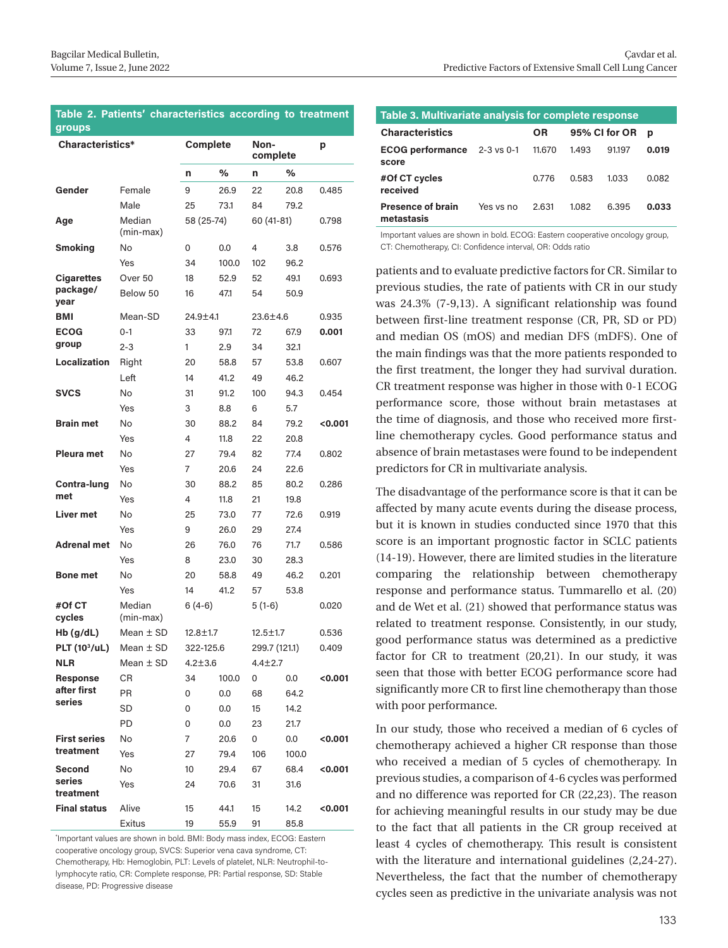#### **Table 2. Patients' characteristics according to treatment groups**

| Characteristics*          |                     | Complete                 |                      | Non-<br>complete |          | р       |
|---------------------------|---------------------|--------------------------|----------------------|------------------|----------|---------|
|                           |                     | n                        | %                    | n                | %        |         |
| Gender                    | Female              | 9                        | 26.9                 | 22               | 20.8     | 0.485   |
|                           | Male                | 25                       | 73.1                 | 84               | 79.2     |         |
| Age                       | Median<br>(min-max) | 58 (25-74)<br>60 (41-81) |                      |                  | 0.798    |         |
| <b>Smoking</b>            | No                  | 0                        | 0.0                  | 4                | 3.8      | 0.576   |
|                           | Yes                 | 34                       | 100.0                | 102              | 96.2     |         |
| <b>Cigarettes</b>         | Over 50             | 18                       | 52.9                 | 52               | 49.1     | 0.693   |
| package/<br>year          | Below 50            | 16                       | 47.1                 | 54               | 50.9     |         |
| <b>BMI</b>                | Mean-SD             |                          | 24.9±4.1<br>23.6±4.6 |                  |          | 0.935   |
| <b>ECOG</b>               | $0 - 1$             | 33                       | 97.1                 | 72               | 67.9     | 0.001   |
| group                     | $2 - 3$             | 1                        | 2.9                  | 34               | 32.1     |         |
| Localization              | Right               | 20                       | 58.8                 | 57               | 53.8     | 0.607   |
|                           | Left                | 14                       | 41.2                 | 49               | 46.2     |         |
| <b>SVCS</b>               | No                  | 31                       | 91.2                 | 100              | 94.3     | 0.454   |
|                           | Yes                 | 3                        | 8.8                  | 6                | 5.7      |         |
| <b>Brain met</b>          | No                  | 30                       | 88.2                 | 84               | 79.2     | 0.001   |
|                           | Yes                 | 4                        | 11.8                 | 22               | 20.8     |         |
| Pleura met                | No                  | 27                       | 79.4                 | 82               | 77.4     | 0.802   |
|                           | Yes                 | 7                        | 20.6                 | 24               | 22.6     |         |
| Contra-lung               | No                  | 30                       | 88.2                 | 85               | 80.2     | 0.286   |
| met                       | Yes                 | 4                        | 11.8                 | 21               | 19.8     |         |
| <b>Liver met</b>          | No                  | 25                       | 73.0                 | 77               | 72.6     | 0.919   |
|                           | Yes                 | 9                        | 26.0                 | 29               | 27.4     |         |
| <b>Adrenal met</b>        | No                  | 26                       | 76.0                 | 76               | 71.7     | 0.586   |
|                           | Yes                 | 8                        | 23.0                 | 30               | 28.3     |         |
| <b>Bone met</b>           | No                  | 20                       | 58.8                 | 49               | 46.2     | 0.201   |
|                           | Yes                 | 14                       | 41.2                 | 57               | 53.8     |         |
| #Of CT<br>cycles          | Median<br>(min-max) |                          | $6(4-6)$             |                  | $5(1-6)$ |         |
| $Hb$ (g/dL)               | Mean $\pm$ SD       | $12.8 \pm 1.7$           |                      | $12.5 \pm 1.7$   |          | 0.536   |
| PLT (10 <sup>3</sup> /uL) | Mean $\pm$ SD       | 322-125.6                |                      | 299.7 (121.1)    |          | 0.409   |
| <b>NLR</b>                | Mean $\pm$ SD       | $4.2 + 3.6$              |                      | $4.4 \pm 2.7$    |          |         |
| <b>Response</b>           | СR                  | 34                       | 100.0                | 0                | 0.0      | <0.001  |
| after first               | PR                  | 0                        | 0.0                  | 68               | 64.2     |         |
| series                    | SD                  | 0                        | 0.0                  | 15               | 14.2     |         |
|                           | PD                  | 0                        | 0.0                  | 23               | 21.7     |         |
| <b>First series</b>       | No                  | 7                        | 20.6                 | 0                | 0.0      | <0.001  |
| treatment                 | Yes                 | 27                       | 79.4                 | 106              | 100.0    |         |
| Second                    | No                  | 10                       | 29.4                 | 67               | 68.4     | <0.001  |
| series<br>treatment       | Yes                 | 24                       | 70.6                 | 31               | 31.6     |         |
| <b>Final status</b>       | Alive               | 15                       | 44.1                 | 15               | 14.2     | < 0.001 |
|                           | Exitus              | 19                       | 55.9                 | 91               | 85.8     |         |

\* Important values are shown in bold. BMI: Body mass index, ECOG: Eastern cooperative oncology group, SVCS: Superior vena cava syndrome, CT: Chemotherapy, Hb: Hemoglobin, PLT: Levels of platelet, NLR: Neutrophil-tolymphocyte ratio, CR: Complete response, PR: Partial response, SD: Stable disease, PD: Progressive disease

| Table 3. Multivariate analysis for complete response |           |           |               |        |       |  |  |  |  |
|------------------------------------------------------|-----------|-----------|---------------|--------|-------|--|--|--|--|
| <b>Characteristics</b>                               |           | <b>OR</b> | 95% CI for OR |        | p     |  |  |  |  |
| ECOG performance 2-3 vs 0-1<br>score                 |           | 11.670    | 1.493         | 91.197 | 0.019 |  |  |  |  |
| #Of CT cycles<br>received                            |           | 0.776     | 0.583         | 1.033  | 0.082 |  |  |  |  |
| <b>Presence of brain</b><br>metastasis               | Yes vs no | 2.631     | 1.082         | 6.395  | 0.033 |  |  |  |  |

Important values are shown in bold. ECOG: Eastern cooperative oncology group, CT: Chemotherapy, CI: Confidence interval, OR: Odds ratio

patients and to evaluate predictive factors for CR. Similar to previous studies, the rate of patients with CR in our study was 24.3% (7-9,13). A significant relationship was found between first-line treatment response (CR, PR, SD or PD) and median OS (mOS) and median DFS (mDFS). One of the main findings was that the more patients responded to the first treatment, the longer they had survival duration. CR treatment response was higher in those with 0-1 ECOG performance score, those without brain metastases at the time of diagnosis, and those who received more firstline chemotherapy cycles. Good performance status and absence of brain metastases were found to be independent predictors for CR in multivariate analysis.

The disadvantage of the performance score is that it can be affected by many acute events during the disease process, but it is known in studies conducted since 1970 that this score is an important prognostic factor in SCLC patients (14-19). However, there are limited studies in the literature comparing the relationship between chemotherapy response and performance status. Tummarello et al. (20) and de Wet et al. (21) showed that performance status was related to treatment response. Consistently, in our study, good performance status was determined as a predictive factor for CR to treatment (20,21). In our study, it was seen that those with better ECOG performance score had significantly more CR to first line chemotherapy than those with poor performance.

In our study, those who received a median of 6 cycles of chemotherapy achieved a higher CR response than those who received a median of 5 cycles of chemotherapy. In previous studies, a comparison of 4-6 cycles was performed and no difference was reported for CR (22,23). The reason for achieving meaningful results in our study may be due to the fact that all patients in the CR group received at least 4 cycles of chemotherapy. This result is consistent with the literature and international guidelines (2,24-27). Nevertheless, the fact that the number of chemotherapy cycles seen as predictive in the univariate analysis was not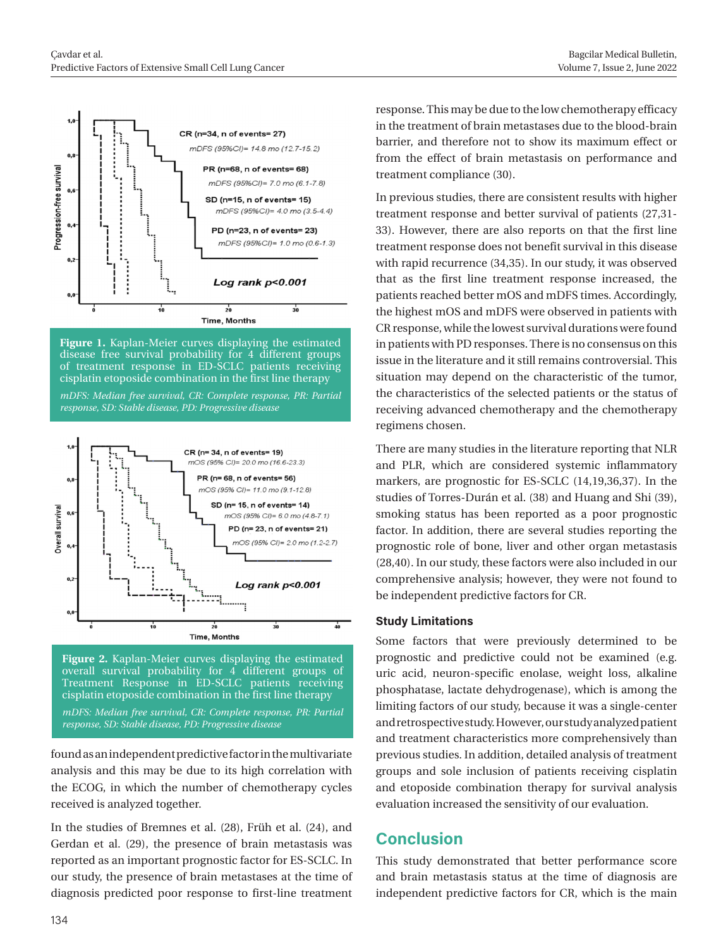

**Figure 1.** Kaplan-Meier curves displaying the estimated disease free survival probability for 4 different groups of treatment response in ED-SCLC patients receiving cisplatin etoposide combination in the first line therapy

*mDFS: Median free survival, CR: Complete response, PR: Partial response, SD: Stable disease, PD: Progressive disease*



**Figure 2.** Kaplan-Meier curves displaying the estimated overall survival probability for 4 different groups of Treatment Response in ED-SCLC patients receiving cisplatin etoposide combination in the first line therapy

*mDFS: Median free survival, CR: Complete response, PR: Partial response, SD: Stable disease, PD: Progressive disease*

found as an independent predictive factor in the multivariate analysis and this may be due to its high correlation with the ECOG, in which the number of chemotherapy cycles received is analyzed together.

In the studies of Bremnes et al. (28), Früh et al. (24), and Gerdan et al. (29), the presence of brain metastasis was reported as an important prognostic factor for ES-SCLC. In our study, the presence of brain metastases at the time of diagnosis predicted poor response to first-line treatment response. This may be due to the low chemotherapy efficacy in the treatment of brain metastases due to the blood-brain barrier, and therefore not to show its maximum effect or from the effect of brain metastasis on performance and treatment compliance (30).

In previous studies, there are consistent results with higher treatment response and better survival of patients (27,31- 33). However, there are also reports on that the first line treatment response does not benefit survival in this disease with rapid recurrence (34,35). In our study, it was observed that as the first line treatment response increased, the patients reached better mOS and mDFS times. Accordingly, the highest mOS and mDFS were observed in patients with CR response, while the lowest survival durations were found in patients with PD responses. There is no consensus on this issue in the literature and it still remains controversial. This situation may depend on the characteristic of the tumor, the characteristics of the selected patients or the status of receiving advanced chemotherapy and the chemotherapy regimens chosen.

There are many studies in the literature reporting that NLR and PLR, which are considered systemic inflammatory markers, are prognostic for ES-SCLC (14,19,36,37). In the studies of Torres-Durán et al. (38) and Huang and Shi (39), smoking status has been reported as a poor prognostic factor. In addition, there are several studies reporting the prognostic role of bone, liver and other organ metastasis (28,40). In our study, these factors were also included in our comprehensive analysis; however, they were not found to be independent predictive factors for CR.

#### **Study Limitations**

Some factors that were previously determined to be prognostic and predictive could not be examined (e.g. uric acid, neuron-specific enolase, weight loss, alkaline phosphatase, lactate dehydrogenase), which is among the limiting factors of our study, because it was a single-center and retrospective study. However, our study analyzed patient and treatment characteristics more comprehensively than previous studies. In addition, detailed analysis of treatment groups and sole inclusion of patients receiving cisplatin and etoposide combination therapy for survival analysis evaluation increased the sensitivity of our evaluation.

# **Conclusion**

This study demonstrated that better performance score and brain metastasis status at the time of diagnosis are independent predictive factors for CR, which is the main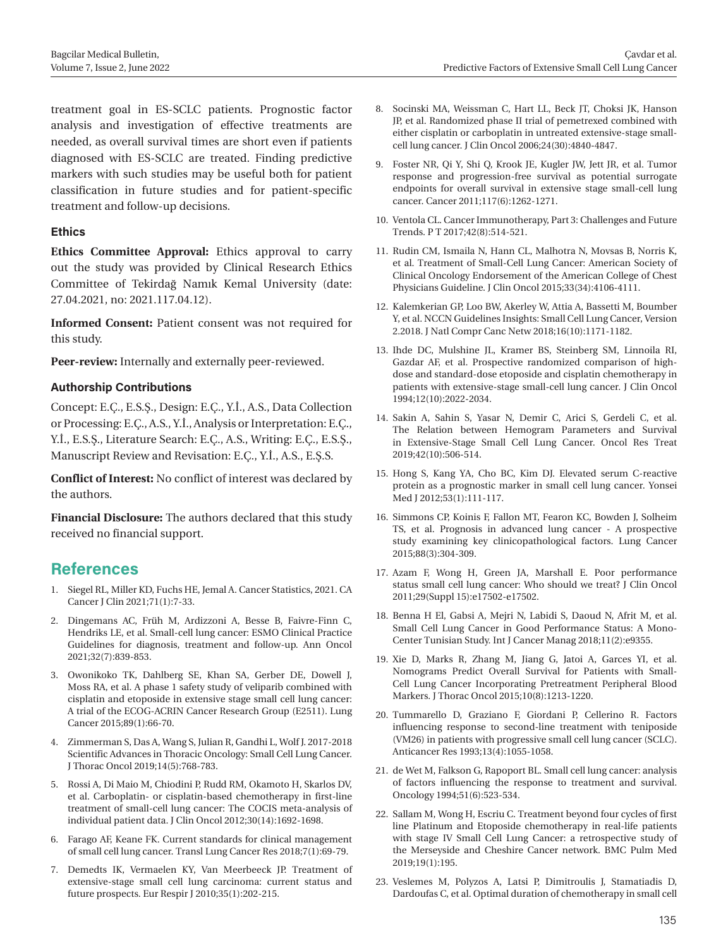treatment goal in ES-SCLC patients. Prognostic factor analysis and investigation of effective treatments are needed, as overall survival times are short even if patients diagnosed with ES-SCLC are treated. Finding predictive markers with such studies may be useful both for patient classification in future studies and for patient-specific treatment and follow-up decisions.

#### **Ethics**

**Ethics Committee Approval:** Ethics approval to carry out the study was provided by Clinical Research Ethics Committee of Tekirdağ Namık Kemal University (date: 27.04.2021, no: 2021.117.04.12).

**Informed Consent:** Patient consent was not required for this study.

**Peer-review:** Internally and externally peer-reviewed.

#### **Authorship Contributions**

Concept: E.Ç., E.S.Ş., Design: E.Ç., Y.İ., A.S., Data Collection or Processing: E.Ç., A.S., Y.İ., Analysis or Interpretation: E.Ç., Y.İ., E.S.Ş., Literature Search: E.Ç., A.S., Writing: E.Ç., E.S.Ş., Manuscript Review and Revisation: E.Ç., Y.İ., A.S., E.Ş.S.

**Conflict of Interest:** No conflict of interest was declared by the authors.

**Financial Disclosure:** The authors declared that this study received no financial support.

## **References**

- 1. Siegel RL, Miller KD, Fuchs HE, Jemal A. Cancer Statistics, 2021. CA Cancer J Clin 2021;71(1):7-33.
- 2. Dingemans AC, Früh M, Ardizzoni A, Besse B, Faivre-Finn C, Hendriks LE, et al. Small-cell lung cancer: ESMO Clinical Practice Guidelines for diagnosis, treatment and follow-up. Ann Oncol 2021;32(7):839-853.
- 3. Owonikoko TK, Dahlberg SE, Khan SA, Gerber DE, Dowell J, Moss RA, et al. A phase 1 safety study of veliparib combined with cisplatin and etoposide in extensive stage small cell lung cancer: A trial of the ECOG-ACRIN Cancer Research Group (E2511). Lung Cancer 2015;89(1):66-70.
- 4. Zimmerman S, Das A, Wang S, Julian R, Gandhi L, Wolf J. 2017-2018 Scientific Advances in Thoracic Oncology: Small Cell Lung Cancer. J Thorac Oncol 2019;14(5):768-783.
- 5. Rossi A, Di Maio M, Chiodini P, Rudd RM, Okamoto H, Skarlos DV, et al. Carboplatin- or cisplatin-based chemotherapy in first-line treatment of small-cell lung cancer: The COCIS meta-analysis of individual patient data. J Clin Oncol 2012;30(14):1692-1698.
- 6. Farago AF, Keane FK. Current standards for clinical management of small cell lung cancer. Transl Lung Cancer Res 2018;7(1):69-79.
- 7. Demedts IK, Vermaelen KY, Van Meerbeeck JP. Treatment of extensive-stage small cell lung carcinoma: current status and future prospects. Eur Respir J 2010;35(1):202-215.
- 8. Socinski MA, Weissman C, Hart LL, Beck JT, Choksi JK, Hanson JP, et al. Randomized phase II trial of pemetrexed combined with either cisplatin or carboplatin in untreated extensive-stage smallcell lung cancer. J Clin Oncol 2006;24(30):4840-4847.
- 9. Foster NR, Qi Y, Shi Q, Krook JE, Kugler JW, Jett JR, et al. Tumor response and progression-free survival as potential surrogate endpoints for overall survival in extensive stage small-cell lung cancer. Cancer 2011;117(6):1262-1271.
- 10. Ventola CL. Cancer Immunotherapy, Part 3: Challenges and Future Trends. P T 2017;42(8):514-521.
- 11. Rudin CM, Ismaila N, Hann CL, Malhotra N, Movsas B, Norris K, et al. Treatment of Small-Cell Lung Cancer: American Society of Clinical Oncology Endorsement of the American College of Chest Physicians Guideline. J Clin Oncol 2015;33(34):4106-4111.
- 12. Kalemkerian GP, Loo BW, Akerley W, Attia A, Bassetti M, Boumber Y, et al. NCCN Guidelines Insights: Small Cell Lung Cancer, Version 2.2018. J Natl Compr Canc Netw 2018;16(10):1171-1182.
- 13. Ihde DC, Mulshine JL, Kramer BS, Steinberg SM, Linnoila RI, Gazdar AF, et al. Prospective randomized comparison of highdose and standard-dose etoposide and cisplatin chemotherapy in patients with extensive-stage small-cell lung cancer. J Clin Oncol 1994;12(10):2022-2034.
- 14. Sakin A, Sahin S, Yasar N, Demir C, Arici S, Gerdeli C, et al. The Relation between Hemogram Parameters and Survival in Extensive-Stage Small Cell Lung Cancer. Oncol Res Treat 2019;42(10):506-514.
- 15. Hong S, Kang YA, Cho BC, Kim DJ. Elevated serum C-reactive protein as a prognostic marker in small cell lung cancer. Yonsei Med J 2012;53(1):111-117.
- 16. Simmons CP, Koinis F, Fallon MT, Fearon KC, Bowden J, Solheim TS, et al. Prognosis in advanced lung cancer - A prospective study examining key clinicopathological factors. Lung Cancer 2015;88(3):304-309.
- 17. Azam F, Wong H, Green JA, Marshall E. Poor performance status small cell lung cancer: Who should we treat? J Clin Oncol 2011;29(Suppl 15):e17502-e17502.
- 18. Benna H El, Gabsi A, Mejri N, Labidi S, Daoud N, Afrit M, et al. Small Cell Lung Cancer in Good Performance Status: A Mono-Center Tunisian Study. Int J Cancer Manag 2018;11(2):e9355.
- 19. Xie D, Marks R, Zhang M, Jiang G, Jatoi A, Garces YI, et al. Nomograms Predict Overall Survival for Patients with Small-Cell Lung Cancer Incorporating Pretreatment Peripheral Blood Markers. J Thorac Oncol 2015;10(8):1213-1220.
- 20. Tummarello D, Graziano F, Giordani P, Cellerino R. Factors influencing response to second-line treatment with teniposide (VM26) in patients with progressive small cell lung cancer (SCLC). Anticancer Res 1993;13(4):1055-1058.
- 21. de Wet M, Falkson G, Rapoport BL. Small cell lung cancer: analysis of factors influencing the response to treatment and survival. Oncology 1994;51(6):523-534.
- 22. Sallam M, Wong H, Escriu C. Treatment beyond four cycles of first line Platinum and Etoposide chemotherapy in real-life patients with stage IV Small Cell Lung Cancer: a retrospective study of the Merseyside and Cheshire Cancer network. BMC Pulm Med 2019;19(1):195.
- 23. Veslemes M, Polyzos A, Latsi P, Dimitroulis J, Stamatiadis D, Dardoufas C, et al. Optimal duration of chemotherapy in small cell